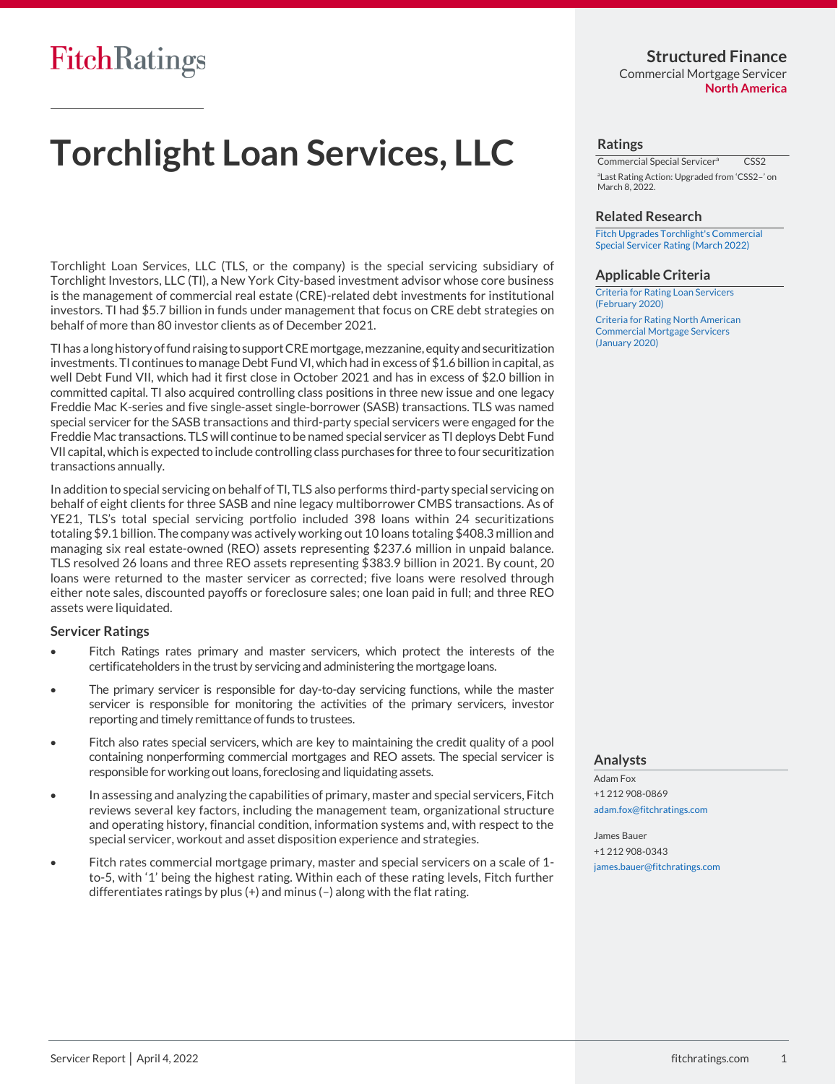# **Structured Finance**

Commercial Mortgage Servicer **North America**

# **Torchlight Loan Services, LLC**

Torchlight Loan Services, LLC (TLS, or the company) is the special servicing subsidiary of Torchlight Investors, LLC (TI), a New York City-based investment advisor whose core business is the management of commercial real estate (CRE)-related debt investments for institutional investors. TI had \$5.7 billion in funds under management that focus on CRE debt strategies on behalf of more than 80 investor clients as of December 2021.

TI has a long history of fund raising to support CRE mortgage, mezzanine, equity and securitization investments. TI continues to manage Debt Fund VI, which had in excess of \$1.6 billion in capital, as well Debt Fund VII, which had it first close in October 2021 and has in excess of \$2.0 billion in committed capital. TI also acquired controlling class positions in three new issue and one legacy Freddie Mac K-series and five single-asset single-borrower (SASB) transactions. TLS was named special servicer for the SASB transactions and third-party special servicers were engaged for the Freddie Mac transactions. TLS will continue to be named special servicer as TI deploys Debt Fund VII capital, which is expected to include controlling class purchases for three to four securitization transactions annually.

In addition to special servicing on behalf of TI, TLS also performs third-party special servicing on behalf of eight clients for three SASB and nine legacy multiborrower CMBS transactions. As of YE21, TLS's total special servicing portfolio included 398 loans within 24 securitizations totaling \$9.1 billion. The company was actively working out 10 loans totaling \$408.3 million and managing six real estate-owned (REO) assets representing \$237.6 million in unpaid balance. TLS resolved 26 loans and three REO assets representing \$383.9 billion in 2021. By count, 20 loans were returned to the master servicer as corrected; five loans were resolved through either note sales, discounted payoffs or foreclosure sales; one loan paid in full; and three REO assets were liquidated.

#### **Servicer Ratings**

- Fitch Ratings rates primary and master servicers, which protect the interests of the certificateholders in the trust by servicing and administering the mortgage loans.
- The primary servicer is responsible for day-to-day servicing functions, while the master servicer is responsible for monitoring the activities of the primary servicers, investor reporting and timely remittance of funds to trustees.
- Fitch also rates special servicers, which are key to maintaining the credit quality of a pool containing nonperforming commercial mortgages and REO assets. The special servicer is responsible for working out loans, foreclosing and liquidating assets.
- In assessing and analyzing the capabilities of primary, master and special servicers, Fitch reviews several key factors, including the management team, organizational structure and operating history, financial condition, information systems and, with respect to the special servicer, workout and asset disposition experience and strategies.
- Fitch rates commercial mortgage primary, master and special servicers on a scale of 1 to-5, with '1' being the highest rating. Within each of these rating levels, Fitch further differentiates ratings by plus (+) and minus (–) along with the flat rating.

#### **Ratings**

Commercial Special Servicer<sup>a</sup> CSS2 a Last Rating Action: Upgraded from 'CSS2–' on March 8, 2022.

#### **Related Research**

[Fitch Upgrades Torchlight's Commercial](https://www.fitchratings.com/site/pr/10196226)  [Special Servicer Rating \(March 2022\)](https://www.fitchratings.com/site/pr/10196226)

#### **Applicable Criteria**

[Criteria for Rating Loan Servicers](https://www.fitchratings.com/site/re/10108868)  [\(February 2020\)](https://www.fitchratings.com/site/re/10108868)

[Criteria for Rating North American](https://www.fitchratings.com/site/re/10107383)  [Commercial Mortgage Servicers](https://www.fitchratings.com/site/re/10107383)  [\(January](https://www.fitchratings.com/site/re/10107383) 2020)

#### **Analysts**

Adam Fox +1 212 908-0869 [adam.fox@fitchratings.com](mailto:adam.fox@fitchratings.com)

James Bauer +1 212 908-0343 [james.bauer@fitchratings.com](mailto:james.bauer@fitchratings.com)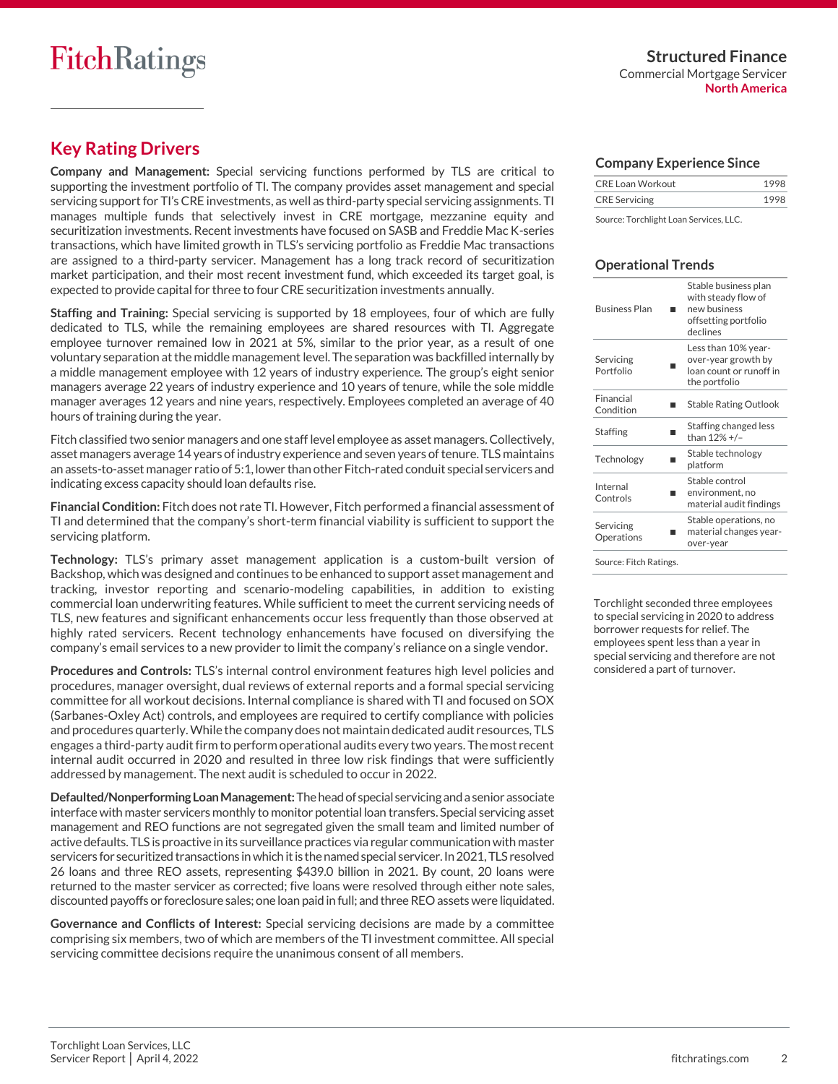# **Key Rating Drivers**

**Company and Management:** Special servicing functions performed by TLS are critical to supporting the investment portfolio of TI. The company provides asset management and special servicing support for TI's CRE investments, as well as third-party special servicing assignments. TI manages multiple funds that selectively invest in CRE mortgage, mezzanine equity and securitization investments. Recent investments have focused on SASB and Freddie Mac K-series transactions, which have limited growth in TLS's servicing portfolio as Freddie Mac transactions are assigned to a third-party servicer. Management has a long track record of securitization market participation, and their most recent investment fund, which exceeded its target goal, is expected to provide capital for three to four CRE securitization investments annually.

**Staffing and Training:** Special servicing is supported by 18 employees, four of which are fully dedicated to TLS, while the remaining employees are shared resources with TI. Aggregate employee turnover remained low in 2021 at 5%, similar to the prior year, as a result of one voluntary separation at the middle management level. The separation was backfilled internally by a middle management employee with 12 years of industry experience. The group's eight senior managers average 22 years of industry experience and 10 years of tenure, while the sole middle manager averages 12 years and nine years, respectively. Employees completed an average of 40 hours of training during the year.

Fitch classified two senior managers and one staff level employee as asset managers. Collectively, asset managers average 14 years of industry experience and seven years of tenure. TLS maintains an assets-to-asset manager ratio of 5:1, lower than other Fitch-rated conduit special servicers and indicating excess capacity should loan defaults rise.

**Financial Condition:** Fitch does not rate TI. However, Fitch performed a financial assessment of TI and determined that the company's short-term financial viability is sufficient to support the servicing platform.

**Technology:** TLS's primary asset management application is a custom-built version of Backshop, which was designed and continues to be enhanced to support asset management and tracking, investor reporting and scenario-modeling capabilities, in addition to existing commercial loan underwriting features. While sufficient to meet the current servicing needs of TLS, new features and significant enhancements occur less frequently than those observed at highly rated servicers. Recent technology enhancements have focused on diversifying the company's email services to a new provider to limit the company's reliance on a single vendor.

**Procedures and Controls:** TLS's internal control environment features high level policies and procedures, manager oversight, dual reviews of external reports and a formal special servicing committee for all workout decisions. Internal compliance is shared with TI and focused on SOX (Sarbanes-Oxley Act) controls, and employees are required to certify compliance with policies and procedures quarterly. While the company does not maintain dedicated audit resources, TLS engages a third-party audit firm to perform operational audits every two years. The most recent internal audit occurred in 2020 and resulted in three low risk findings that were sufficiently addressed by management. The next audit is scheduled to occur in 2022.

**Defaulted/Nonperforming Loan Management:**The head of special servicing anda senior associate interface with master servicers monthly to monitor potential loan transfers. Special servicing asset management and REO functions are not segregated given the small team and limited number of active defaults. TLS is proactive in its surveillance practices via regular communication with master servicers for securitized transactions in which it is the named special servicer. In 2021, TLS resolved 26 loans and three REO assets, representing \$439.0 billion in 2021. By count, 20 loans were returned to the master servicer as corrected; five loans were resolved through either note sales, discounted payoffs or foreclosure sales; one loan paid in full; and three REO assets were liquidated.

**Governance and Conflicts of Interest:** Special servicing decisions are made by a committee comprising six members, two of which are members of the TI investment committee. All special servicing committee decisions require the unanimous consent of all members.

#### **Company Experience Since**

| CRE Loan Workout     |  |
|----------------------|--|
| <b>CRE</b> Servicing |  |

Source: Torchlight Loan Services, LLC.

#### **Operational Trends**

| <b>Business Plan</b>    | Stable business plan<br>with steady flow of<br>new husiness<br>offsetting portfolio<br>declines |  |  |  |  |
|-------------------------|-------------------------------------------------------------------------------------------------|--|--|--|--|
| Servicing<br>Portfolio  | Less than 10% year-<br>over-year growth by<br>loan count or runoff in<br>the portfolio          |  |  |  |  |
| Financial<br>Condition  | <b>Stable Rating Outlook</b>                                                                    |  |  |  |  |
| Staffing                | Staffing changed less<br>than 12% +/-                                                           |  |  |  |  |
| Technology              | Stable technology<br>platform                                                                   |  |  |  |  |
| Internal<br>Controls    | Stable control<br>environment, no<br>material audit findings                                    |  |  |  |  |
| Servicing<br>Operations | Stable operations, no<br>material changes year-<br>over-year                                    |  |  |  |  |
|                         |                                                                                                 |  |  |  |  |

Source: Fitch Ratings.

Torchlight seconded three employees to special servicing in 2020 to address borrower requests for relief. The employees spent less than a year in special servicing and therefore are not considered a part of turnover.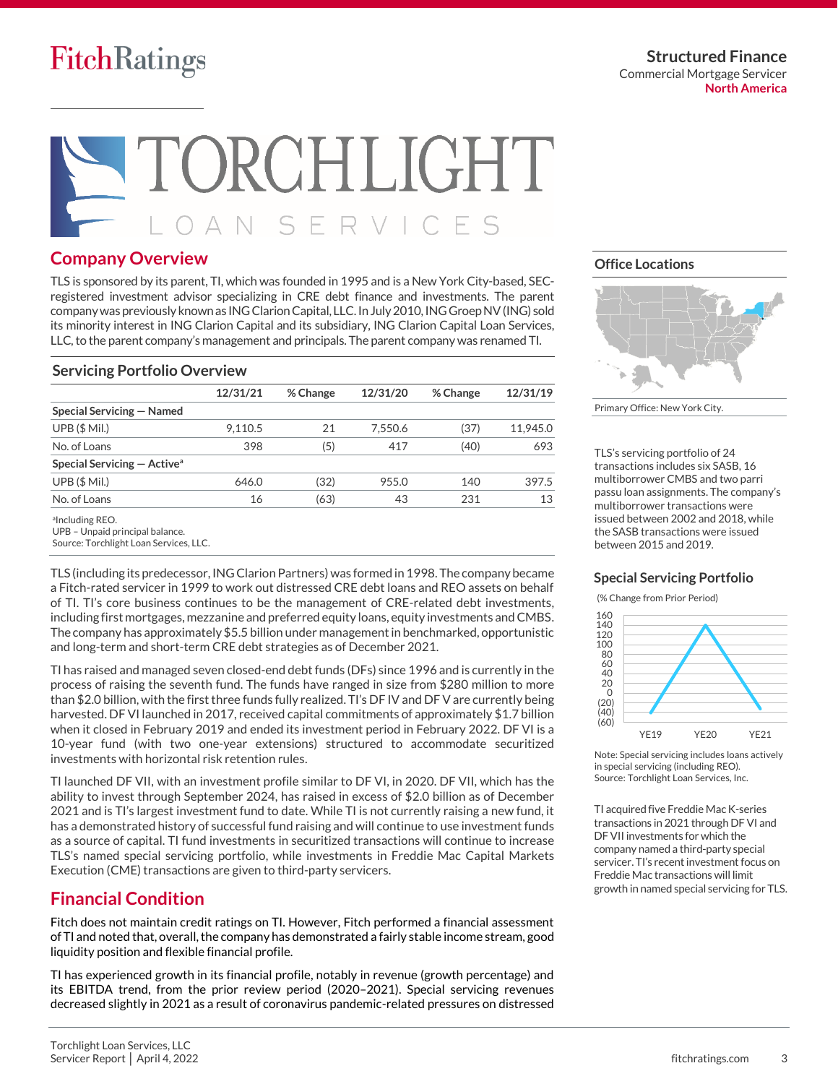**Structured Finance** Commercial Mortgage Servicer **North America**

# ORCHLIGHT AN SERVICES

### **Company Overview**

TLS is sponsored by its parent, TI, which was founded in 1995 and is a New York City-based, SECregistered investment advisor specializing in CRE debt finance and investments. The parent company was previously known as ING Clarion Capital, LLC. In July 2010, ING Groep NV (ING) sold its minority interest in ING Clarion Capital and its subsidiary, ING Clarion Capital Loan Services, LLC, to the parent company's management and principals. The parent company was renamed TI.

#### **Servicing Portfolio Overview**

|                                         | 12/31/21 | % Change | 12/31/20 | % Change | 12/31/19 |
|-----------------------------------------|----------|----------|----------|----------|----------|
| Special Servicing – Named               |          |          |          |          |          |
| UPB(SMil.)                              | 9.110.5  | 21       | 7.550.6  | (37)     | 11.945.0 |
| No. of Loans                            | 398      | (5)      | 417      | (40)     | 693      |
| Special Servicing - Active <sup>a</sup> |          |          |          |          |          |
| UPB(SMil.)                              | 646.0    | (32)     | 955.0    | 140      | 397.5    |
| No. of Loans                            | 16       | (63)     | 43       | 231      | 13       |
|                                         |          |          |          |          |          |

alncluding REO.

Source: Torchlight Loan Services, LLC.

TLS (including its predecessor,ING Clarion Partners) was formed in 1998. The company became a Fitch-rated servicer in 1999 to work out distressed CRE debt loans and REO assets on behalf of TI. TI's core business continues to be the management of CRE-related debt investments, including first mortgages, mezzanine and preferred equity loans, equity investments and CMBS. The company has approximately \$5.5 billion under management in benchmarked, opportunistic and long-term and short-term CRE debt strategies as of December 2021.

TI has raised and managed seven closed-end debt funds (DFs) since 1996 and is currently in the process of raising the seventh fund. The funds have ranged in size from \$280 million to more than \$2.0 billion, with the first three funds fully realized. TI's DF IV and DF V are currently being harvested. DF VI launched in 2017, received capital commitments of approximately \$1.7 billion when it closed in February 2019 and ended its investment period in February 2022. DF VI is a 10-year fund (with two one-year extensions) structured to accommodate securitized investments with horizontal risk retention rules.

TI launched DF VII, with an investment profile similar to DF VI, in 2020. DF VII, which has the ability to invest through September 2024, has raised in excess of \$2.0 billion as of December 2021 and is TI's largest investment fund to date. While TI is not currently raising a new fund, it has a demonstrated history of successful fund raising and will continue to use investment funds as a source of capital. TI fund investments in securitized transactions will continue to increase TLS's named special servicing portfolio, while investments in Freddie Mac Capital Markets Execution (CME) transactions are given to third-party servicers.

### **Financial Condition**

Fitch does not maintain credit ratings on TI. However, Fitch performed a financial assessment of TI and noted that, overall, the company has demonstrated a fairly stable income stream, good liquidity position and flexible financial profile.

TI has experienced growth in its financial profile, notably in revenue (growth percentage) and its EBITDA trend, from the prior review period (2020–2021). Special servicing revenues decreased slightly in 2021 as a result of coronavirus pandemic-related pressures on distressed

#### **Office Locations**



Primary Office: New York City.

TLS's servicing portfolio of 24 transactions includes six SASB, 16 multiborrower CMBS and two parri passu loan assignments. The company's multiborrower transactions were issued between 2002 and 2018, while the SASB transactions were issued between 2015 and 2019.

#### **Special Servicing Portfolio**

(% Change from Prior Period)



Note: Special servicing includes loans actively in special servicing (including REO). Source: Torchlight Loan Services, Inc.

TI acquired five Freddie Mac K-series transactions in 2021 through DF VI and DF VII investments for which the company named a third-party special servicer. TI's recent investment focus on Freddie Mac transactions will limit growth in named special servicing for TLS.

UPB – Unpaid principal balance.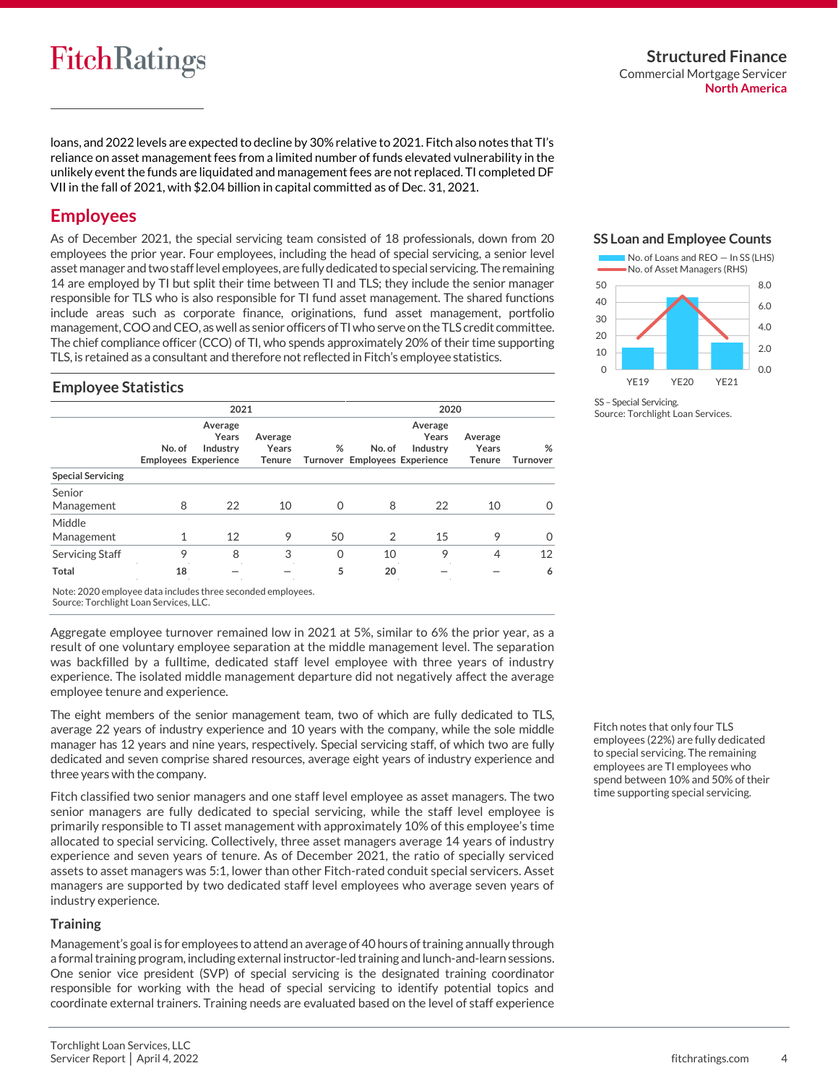loans, and 2022 levels are expected to decline by 30% relative to 2021. Fitch also notes that TI's reliance on asset management fees from a limited number of funds elevated vulnerability in the unlikely event the funds are liquidated and management fees are not replaced. TI completed DF VII in the fall of 2021, with \$2.04 billion in capital committed as of Dec. 31, 2021.

## **Employees**

As of December 2021, the special servicing team consisted of 18 professionals, down from 20 employees the prior year. Four employees, including the head of special servicing, a senior level asset manager and two staff level employees, are fully dedicated to special servicing. The remaining 14 are employed by TI but split their time between TI and TLS; they include the senior manager responsible for TLS who is also responsible for TI fund asset management. The shared functions include areas such as corporate finance, originations, fund asset management, portfolio management, COO and CEO, as well as senior officers of TI who serve on the TLS credit committee. The chief compliance officer (CCO) of TI, who spends approximately 20% of their time supporting TLS, is retained as a consultant and therefore not reflected in Fitch's employee statistics.

### **SS Loan and Employee Counts**



SS - Special Servicing. Source: Torchlight Loan Services.

#### **Employee Statistics**

|                          | 2021   |                                                             |                                   |          | 2020           |                                                               |                                   |                      |
|--------------------------|--------|-------------------------------------------------------------|-----------------------------------|----------|----------------|---------------------------------------------------------------|-----------------------------------|----------------------|
|                          | No. of | Average<br>Years<br>Industry<br><b>Employees Experience</b> | Average<br>Years<br><b>Tenure</b> | %        | No. of         | Average<br>Years<br>Industry<br>Turnover Employees Experience | Average<br>Years<br><b>Tenure</b> | %<br><b>Turnover</b> |
| <b>Special Servicing</b> |        |                                                             |                                   |          |                |                                                               |                                   |                      |
| Senior<br>Management     | 8      | 22                                                          | 10                                | 0        | 8              | 22                                                            | 10                                | O                    |
| Middle<br>Management     |        | 12                                                          | 9                                 | 50       | $\overline{2}$ | 15                                                            | 9                                 | $\Omega$             |
| Servicing Staff          | 9      | 8                                                           | 3                                 | $\Omega$ | 10             | 9                                                             | 4                                 | 12                   |
| <b>Total</b>             | 18     |                                                             |                                   | 5        | 20             |                                                               |                                   | 6                    |

Note: 2020 employee data includes three seconded employees.

Source: Torchlight Loan Services, LLC.

Aggregate employee turnover remained low in 2021 at 5%, similar to 6% the prior year, as a result of one voluntary employee separation at the middle management level. The separation was backfilled by a fulltime, dedicated staff level employee with three years of industry experience. The isolated middle management departure did not negatively affect the average employee tenure and experience.

The eight members of the senior management team, two of which are fully dedicated to TLS, average 22 years of industry experience and 10 years with the company, while the sole middle manager has 12 years and nine years, respectively. Special servicing staff, of which two are fully dedicated and seven comprise shared resources, average eight years of industry experience and three years with the company.

Fitch classified two senior managers and one staff level employee as asset managers. The two senior managers are fully dedicated to special servicing, while the staff level employee is primarily responsible to TI asset management with approximately 10% of this employee's time allocated to special servicing. Collectively, three asset managers average 14 years of industry experience and seven years of tenure. As of December 2021, the ratio of specially serviced assets to asset managers was 5:1, lower than other Fitch-rated conduit special servicers. Asset managers are supported by two dedicated staff level employees who average seven years of industry experience.

#### **Training**

Management's goal is for employees to attend an average of 40 hours of training annually through a formal training program, including external instructor-led training and lunch-and-learn sessions. One senior vice president (SVP) of special servicing is the designated training coordinator responsible for working with the head of special servicing to identify potential topics and coordinate external trainers. Training needs are evaluated based on the level of staff experience

Fitch notes that only four TLS employees (22%) are fully dedicated to special servicing. The remaining employees are TI employees who spend between 10% and 50% of their time supporting special servicing.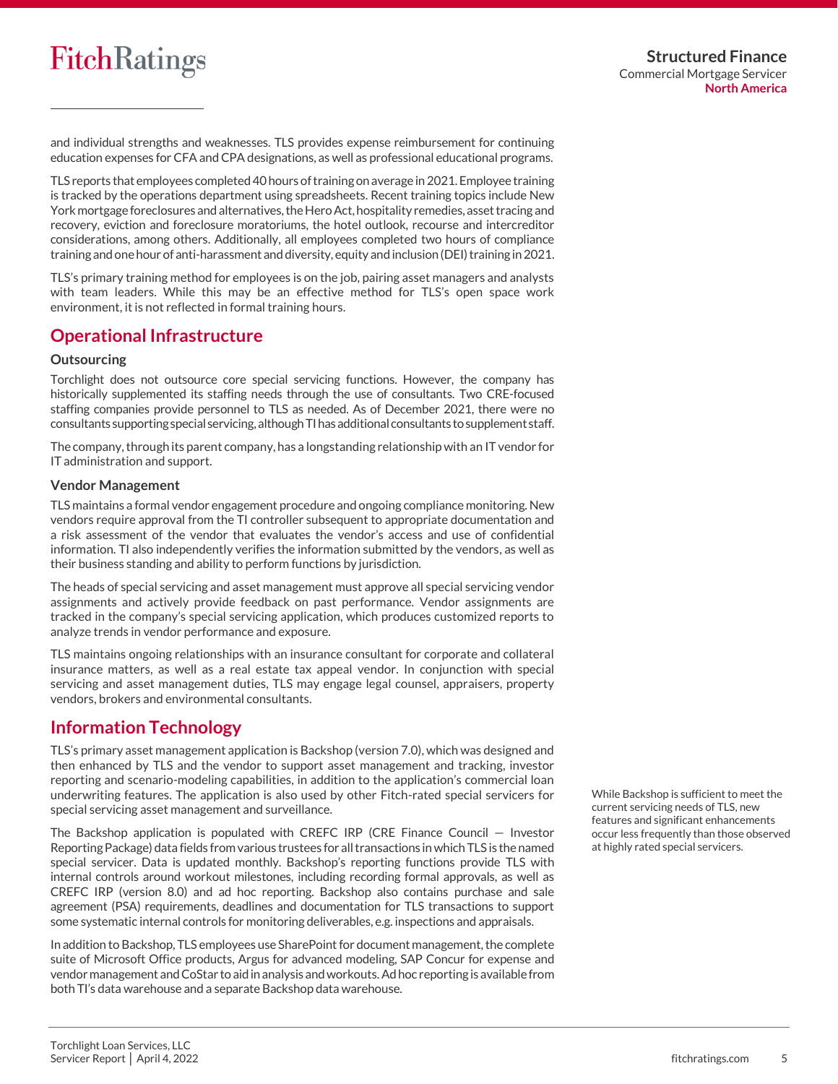and individual strengths and weaknesses. TLS provides expense reimbursement for continuing education expenses for CFA and CPA designations, as well as professional educational programs.

TLS reports that employees completed 40 hours of training on average in 2021. Employee training is tracked by the operations department using spreadsheets. Recent training topics include New Yorkmortgage foreclosures andalternatives, the Hero Act, hospitality remedies, asset tracing and recovery, eviction and foreclosure moratoriums, the hotel outlook, recourse and intercreditor considerations, among others. Additionally, all employees completed two hours of compliance training and one hour of anti-harassment and diversity, equity and inclusion (DEI) training in 2021.

TLS's primary training method for employees is on the job, pairing asset managers and analysts with team leaders. While this may be an effective method for TLS's open space work environment, it is not reflected in formal training hours.

### **Operational Infrastructure**

#### **Outsourcing**

Torchlight does not outsource core special servicing functions. However, the company has historically supplemented its staffing needs through the use of consultants. Two CRE-focused staffing companies provide personnel to TLS as needed. As of December 2021, there were no consultants supporting special servicing,although TI has additional consultants to supplement staff.

The company, through its parent company, has a longstanding relationship with an IT vendor for IT administration and support.

#### **Vendor Management**

TLS maintains a formal vendor engagement procedure and ongoing compliance monitoring. New vendors require approval from the TI controller subsequent to appropriate documentation and a risk assessment of the vendor that evaluates the vendor's access and use of confidential information. TI also independently verifies the information submitted by the vendors, as well as their business standing and ability to perform functions by jurisdiction.

The heads of special servicing and asset management must approve all special servicing vendor assignments and actively provide feedback on past performance. Vendor assignments are tracked in the company's special servicing application, which produces customized reports to analyze trends in vendor performance and exposure.

TLS maintains ongoing relationships with an insurance consultant for corporate and collateral insurance matters, as well as a real estate tax appeal vendor. In conjunction with special servicing and asset management duties, TLS may engage legal counsel, appraisers, property vendors, brokers and environmental consultants.

### **Information Technology**

TLS's primary asset management application is Backshop (version 7.0), which was designed and then enhanced by TLS and the vendor to support asset management and tracking, investor reporting and scenario-modeling capabilities, in addition to the application's commercial loan underwriting features. The application is also used by other Fitch-rated special servicers for special servicing asset management and surveillance.

The Backshop application is populated with CREFC IRP (CRE Finance Council — Investor Reporting Package) data fields from various trustees for all transactions in which TLS is the named special servicer. Data is updated monthly. Backshop's reporting functions provide TLS with internal controls around workout milestones, including recording formal approvals, as well as CREFC IRP (version 8.0) and ad hoc reporting. Backshop also contains purchase and sale agreement (PSA) requirements, deadlines and documentation for TLS transactions to support some systematic internal controls for monitoring deliverables, e.g. inspections and appraisals.

In addition to Backshop, TLS employees use SharePoint for document management, the complete suite of Microsoft Office products, Argus for advanced modeling, SAP Concur for expense and vendor management and CoStar to aid in analysis and workouts. Adhoc reporting is available from both TI's data warehouse and a separate Backshop data warehouse.

While Backshop is sufficient to meet the current servicing needs of TLS, new features and significant enhancements occur less frequently than those observed at highly rated special servicers.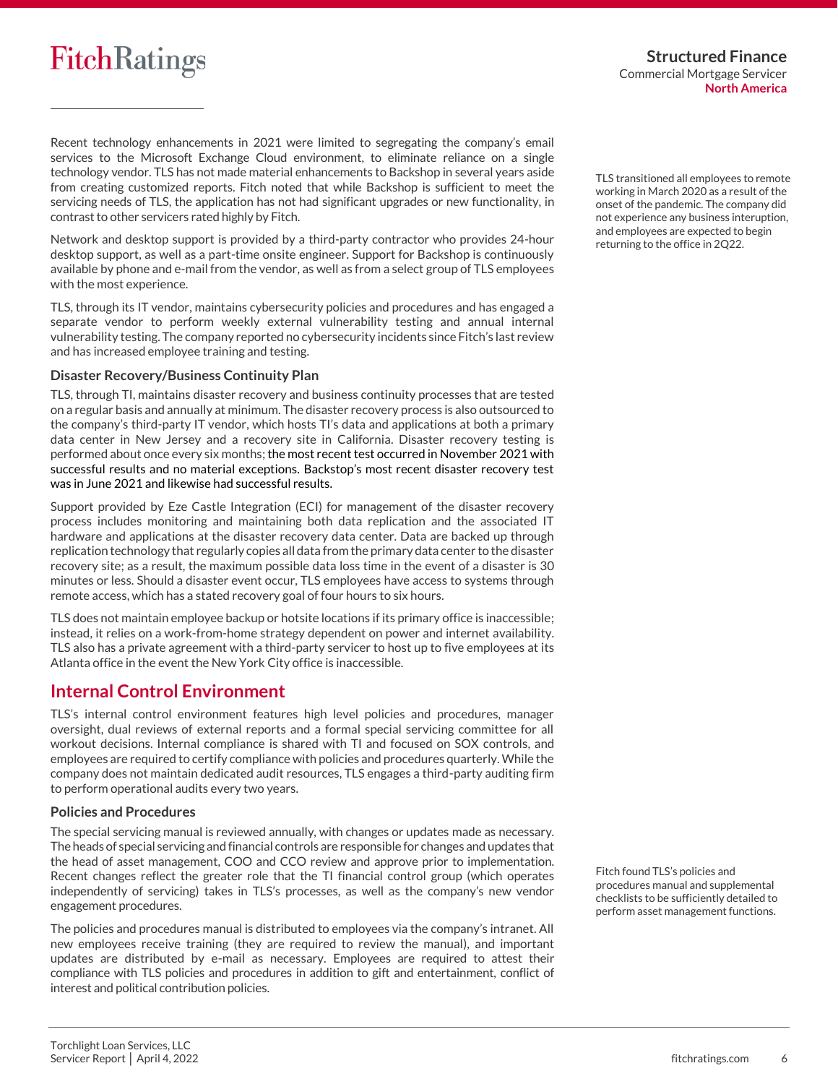

**Structured Finance** Commercial Mortgage Servicer **North America**

Recent technology enhancements in 2021 were limited to segregating the company's email services to the Microsoft Exchange Cloud environment, to eliminate reliance on a single technology vendor. TLS has not made material enhancements to Backshop in several years aside from creating customized reports. Fitch noted that while Backshop is sufficient to meet the servicing needs of TLS, the application has not had significant upgrades or new functionality, in contrast to other servicers rated highly by Fitch.

Network and desktop support is provided by a third-party contractor who provides 24-hour desktop support, as well as a part-time onsite engineer. Support for Backshop is continuously available by phone and e-mail from the vendor, as well as from a select group of TLS employees with the most experience.

TLS, through its IT vendor, maintains cybersecurity policies and procedures and has engaged a separate vendor to perform weekly external vulnerability testing and annual internal vulnerability testing. The company reported no cybersecurity incidents since Fitch's last review and has increased employee training and testing.

#### **Disaster Recovery/Business Continuity Plan**

TLS, through TI, maintains disaster recovery and business continuity processes that are tested on a regular basis and annually at minimum. The disaster recovery process is also outsourced to the company's third-party IT vendor, which hosts TI's data and applications at both a primary data center in New Jersey and a recovery site in California. Disaster recovery testing is performed about once every six months; the most recent test occurred in November 2021 with successful results and no material exceptions. Backstop's most recent disaster recovery test was in June 2021 and likewise had successful results.

Support provided by Eze Castle Integration (ECI) for management of the disaster recovery process includes monitoring and maintaining both data replication and the associated IT hardware and applications at the disaster recovery data center. Data are backed up through replication technology that regularly copies all data from the primary data center to the disaster recovery site; as a result, the maximum possible data loss time in the event of a disaster is 30 minutes or less. Should a disaster event occur, TLS employees have access to systems through remote access, which has a stated recovery goal of four hours to six hours.

TLS does not maintain employee backup or hotsite locations if its primary office is inaccessible; instead, it relies on a work-from-home strategy dependent on power and internet availability. TLS also has a private agreement with a third-party servicer to host up to five employees at its Atlanta office in the event the New York City office is inaccessible.

### **Internal Control Environment**

TLS's internal control environment features high level policies and procedures, manager oversight, dual reviews of external reports and a formal special servicing committee for all workout decisions. Internal compliance is shared with TI and focused on SOX controls, and employees are required to certify compliance with policies and procedures quarterly. While the company does not maintain dedicated audit resources, TLS engages a third-party auditing firm to perform operational audits every two years.

#### **Policies and Procedures**

The special servicing manual is reviewed annually, with changes or updates made as necessary. The heads of special servicing and financial controls are responsible for changes and updates that the head of asset management, COO and CCO review and approve prior to implementation. Recent changes reflect the greater role that the TI financial control group (which operates independently of servicing) takes in TLS's processes, as well as the company's new vendor engagement procedures.

The policies and procedures manual is distributed to employees via the company's intranet. All new employees receive training (they are required to review the manual), and important updates are distributed by e-mail as necessary. Employees are required to attest their compliance with TLS policies and procedures in addition to gift and entertainment, conflict of interest and political contribution policies.

TLS transitioned all employees to remote working in March 2020 as a result of the onset of the pandemic. The company did not experience any business interuption, and employees are expected to begin returning to the office in 2Q22.

Fitch found TLS's policies and procedures manual and supplemental checklists to be sufficiently detailed to perform asset management functions.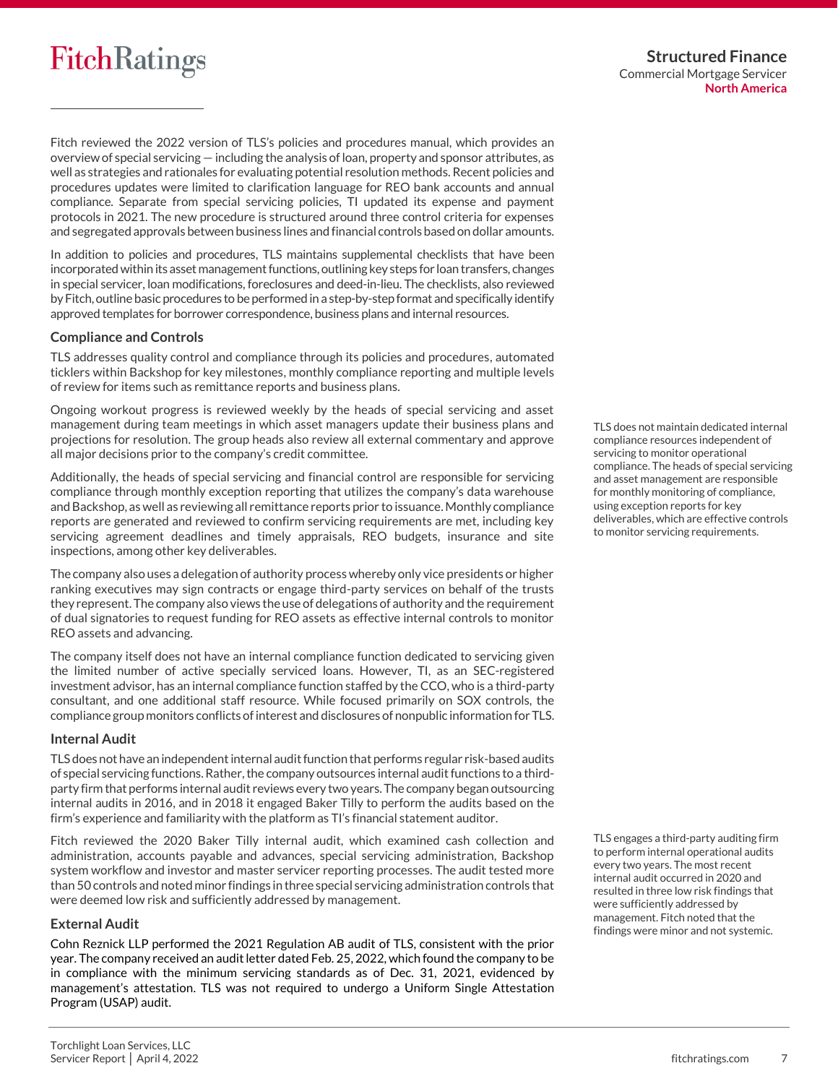Fitch reviewed the 2022 version of TLS's policies and procedures manual, which provides an overview of special servicing — including the analysis of loan, property and sponsor attributes, as well as strategies and rationales for evaluating potential resolution methods. Recent policies and procedures updates were limited to clarification language for REO bank accounts and annual compliance. Separate from special servicing policies, TI updated its expense and payment protocols in 2021. The new procedure is structured around three control criteria for expenses and segregated approvals between business lines and financial controls based on dollar amounts.

In addition to policies and procedures, TLS maintains supplemental checklists that have been incorporated within its asset management functions, outlining key steps for loan transfers, changes in special servicer, loan modifications, foreclosures and deed-in-lieu. The checklists, also reviewed by Fitch, outline basic procedures to be performed in a step-by-step format and specifically identify approved templates for borrower correspondence, business plans and internal resources.

#### **Compliance and Controls**

TLS addresses quality control and compliance through its policies and procedures, automated ticklers within Backshop for key milestones, monthly compliance reporting and multiple levels of review for items such as remittance reports and business plans.

Ongoing workout progress is reviewed weekly by the heads of special servicing and asset management during team meetings in which asset managers update their business plans and projections for resolution. The group heads also review all external commentary and approve all major decisions prior to the company's credit committee.

Additionally, the heads of special servicing and financial control are responsible for servicing compliance through monthly exception reporting that utilizes the company's data warehouse and Backshop, as well as reviewing all remittance reports prior to issuance. Monthly compliance reports are generated and reviewed to confirm servicing requirements are met, including key servicing agreement deadlines and timely appraisals, REO budgets, insurance and site inspections, among other key deliverables.

The company also uses a delegation of authority process whereby only vice presidents or higher ranking executives may sign contracts or engage third-party services on behalf of the trusts they represent. The company also views the use of delegations of authority and the requirement of dual signatories to request funding for REO assets as effective internal controls to monitor REO assets and advancing.

The company itself does not have an internal compliance function dedicated to servicing given the limited number of active specially serviced loans. However, TI, as an SEC-registered investment advisor, has an internal compliance function staffed by the CCO, who is a third-party consultant, and one additional staff resource. While focused primarily on SOX controls, the compliance group monitors conflicts of interest and disclosures of nonpublic information for TLS.

#### **Internal Audit**

TLS does not have an independent internal audit function that performs regular risk-based audits of special servicing functions. Rather, the company outsources internal audit functions to a thirdparty firm that performs internal audit reviews every two years. The company began outsourcing internal audits in 2016, and in 2018 it engaged Baker Tilly to perform the audits based on the firm's experience and familiarity with the platform as TI's financial statement auditor.

Fitch reviewed the 2020 Baker Tilly internal audit, which examined cash collection and administration, accounts payable and advances, special servicing administration, Backshop system workflow and investor and master servicer reporting processes. The audit tested more than 50 controls and noted minor findings in three special servicing administration controls that were deemed low risk and sufficiently addressed by management.

#### **External Audit**

Cohn Reznick LLP performed the 2021 Regulation AB audit of TLS, consistent with the prior year. The company received an audit letter dated Feb. 25, 2022, which found the company to be in compliance with the minimum servicing standards as of Dec. 31, 2021, evidenced by management's attestation. TLS was not required to undergo a Uniform Single Attestation Program (USAP) audit.

TLS does not maintain dedicated internal compliance resources independent of servicing to monitor operational compliance. The heads of special servicing and asset management are responsible for monthly monitoring of compliance, using exception reports for key deliverables, which are effective controls to monitor servicing requirements.

TLS engages a third-party auditing firm to perform internal operational audits every two years. The most recent internal audit occurred in 2020 and resulted in three low risk findings that were sufficiently addressed by management. Fitch noted that the findings were minor and not systemic.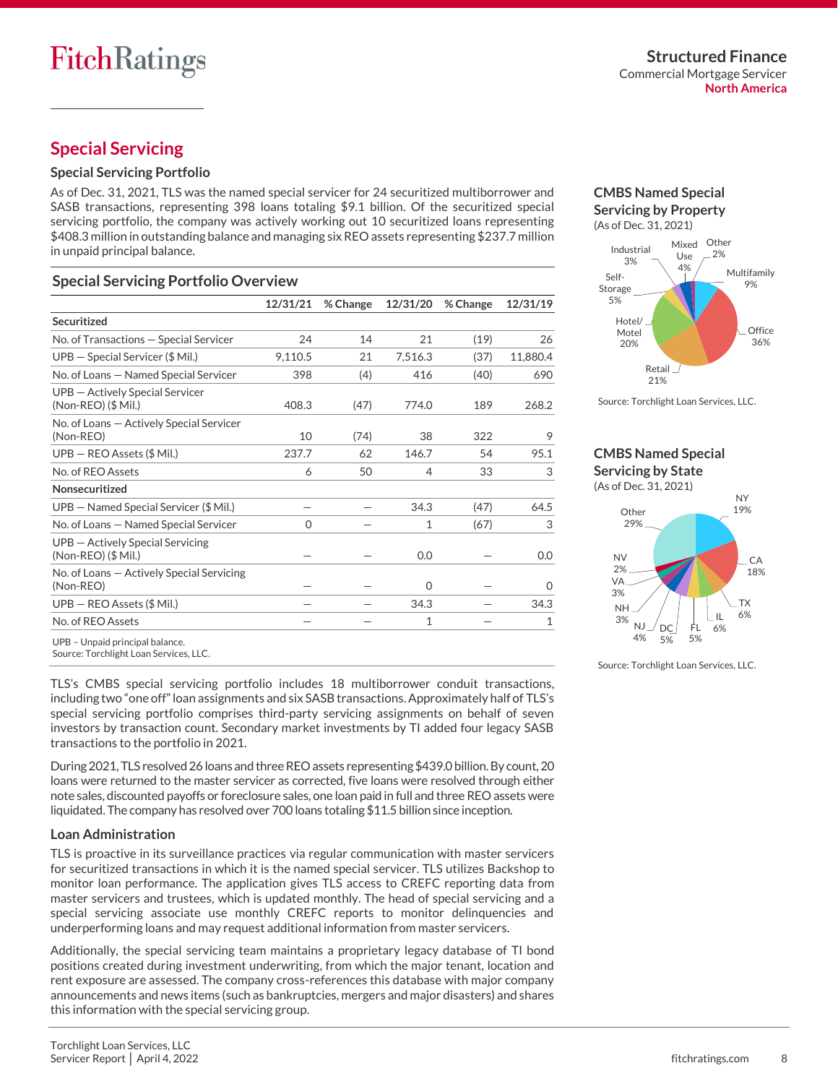# **Special Servicing**

#### **Special Servicing Portfolio**

As of Dec. 31, 2021, TLS was the named special servicer for 24 securitized multiborrower and SASB transactions, representing 398 loans totaling \$9.1 billion. Of the securitized special servicing portfolio, the company was actively working out 10 securitized loans representing \$408.3 million in outstanding balance and managing six REO assets representing \$237.7 million in unpaid principal balance.

#### **Special Servicing Portfolio Overview**

|                                                            | 12/31/21 | % Change | 12/31/20 | % Change | 12/31/19 |
|------------------------------------------------------------|----------|----------|----------|----------|----------|
| Securitized                                                |          |          |          |          |          |
| No. of Transactions - Special Servicer                     | 24       | 14       | 21       | (19)     | 26       |
| $UPB - Special Servicer$ (\$ Mil.)                         | 9,110.5  | 21       | 7,516.3  | (37)     | 11,880.4 |
| No. of Loans - Named Special Servicer                      | 398      | (4)      | 416      | (40)     | 690      |
| UPB - Actively Special Servicer<br>(Non-REO) (\$ Mil.)     | 408.3    | (47)     | 774.0    | 189      | 268.2    |
| No. of Loans - Actively Special Servicer<br>(Non-REO)      | 10       | (74)     | 38       | 322      | 9        |
| $UPB - REO Assets ($ Mil.)$                                | 237.7    | 62       | 146.7    | 54       | 95.1     |
| No. of REO Assets                                          | 6        | 50       | 4        | 33       | 3        |
| Nonsecuritized                                             |          |          |          |          |          |
| UPB - Named Special Servicer (\$ Mil.)                     |          |          | 34.3     | (47)     | 64.5     |
| No. of Loans - Named Special Servicer                      | 0        |          | 1        | (67)     | 3        |
| UPB - Actively Special Servicing<br>$(Non-RED)$ $($ Mil.)$ |          |          | 0.0      |          | 0.0      |
| No. of Loans – Actively Special Servicing<br>(Non-REO)     |          |          | $\Omega$ |          | $\Omega$ |
| $UPB - REO Assets ($ Mil.)$                                |          |          | 34.3     |          | 34.3     |
| No. of REO Assets                                          |          |          | 1        |          | 1        |

**CMBS Named Special Servicing by Property** (As of Dec. 31, 2021)



Source: Torchlight Loan Services, LLC.

# **CMBS Named Special**

**Servicing by State** (As of Dec. 31, 2021)



Source: Torchlight Loan Services, LLC.

UPB – Unpaid principal balance.

Source: Torchlight Loan Services, LLC.

TLS's CMBS special servicing portfolio includes 18 multiborrower conduit transactions, including two "one off"loan assignments and six SASB transactions. Approximately half of TLS's special servicing portfolio comprises third-party servicing assignments on behalf of seven investors by transaction count. Secondary market investments by TI added four legacy SASB transactions to the portfolio in 2021.

During 2021, TLS resolved 26 loans and three REO assets representing \$439.0 billion. By count, 20 loans were returned to the master servicer as corrected, five loans were resolved through either note sales, discounted payoffs or foreclosure sales, one loan paid in full and three REO assets were liquidated. The company has resolved over 700 loans totaling \$11.5 billion since inception.

#### **Loan Administration**

TLS is proactive in its surveillance practices via regular communication with master servicers for securitized transactions in which it is the named special servicer. TLS utilizes Backshop to monitor loan performance. The application gives TLS access to CREFC reporting data from master servicers and trustees, which is updated monthly. The head of special servicing and a special servicing associate use monthly CREFC reports to monitor delinquencies and underperforming loans and may request additional information from master servicers.

Additionally, the special servicing team maintains a proprietary legacy database of TI bond positions created during investment underwriting, from which the major tenant, location and rent exposure are assessed. The company cross-references this database with major company announcements and news items (such as bankruptcies, mergers and major disasters) and shares this information with the special servicing group.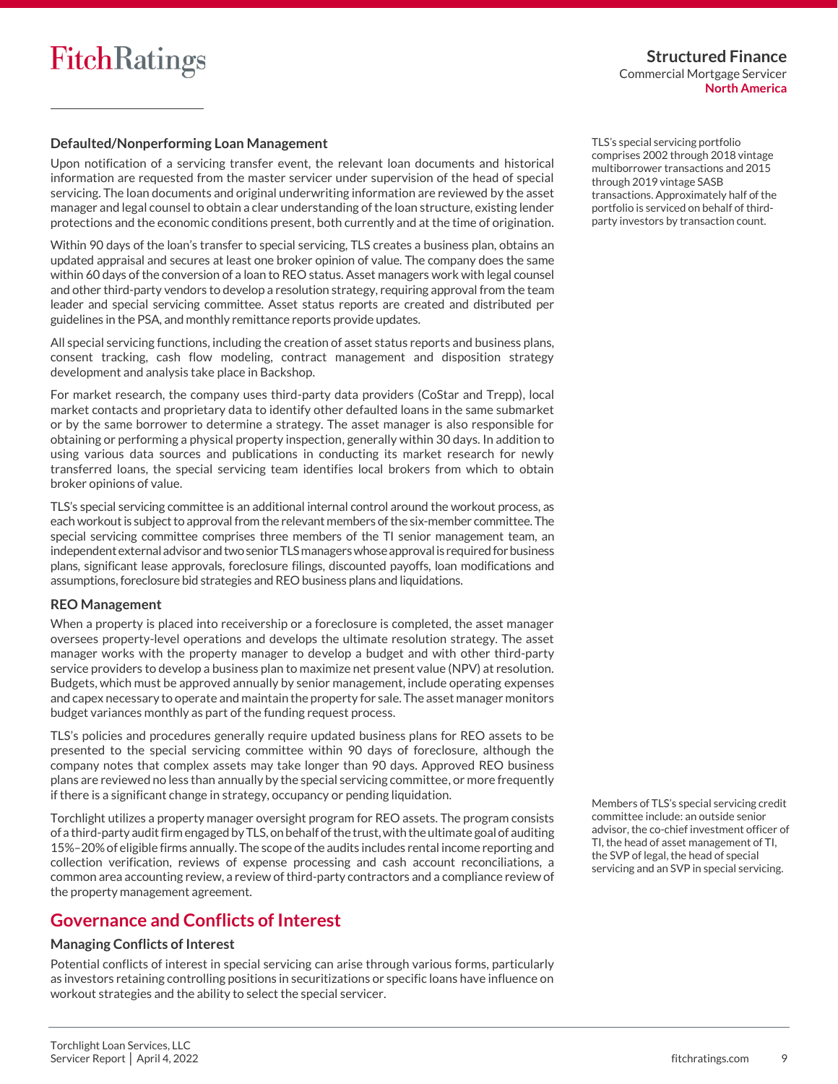#### **Defaulted/Nonperforming Loan Management**

Upon notification of a servicing transfer event, the relevant loan documents and historical information are requested from the master servicer under supervision of the head of special servicing. The loan documents and original underwriting information are reviewed by the asset manager and legal counsel to obtain a clear understanding of the loan structure, existing lender protections and the economic conditions present, both currently and at the time of origination.

Within 90 days of the loan's transfer to special servicing, TLS creates a business plan, obtains an updated appraisal and secures at least one broker opinion of value. The company does the same within 60 days of the conversion of a loan to REO status. Asset managers work with legal counsel and other third-party vendors to develop a resolution strategy, requiring approval from the team leader and special servicing committee. Asset status reports are created and distributed per guidelines in the PSA, and monthly remittance reports provide updates.

All special servicing functions, including the creation of asset status reports and business plans, consent tracking, cash flow modeling, contract management and disposition strategy development and analysis take place in Backshop.

For market research, the company uses third-party data providers (CoStar and Trepp), local market contacts and proprietary data to identify other defaulted loans in the same submarket or by the same borrower to determine a strategy. The asset manager is also responsible for obtaining or performing a physical property inspection, generally within 30 days. In addition to using various data sources and publications in conducting its market research for newly transferred loans, the special servicing team identifies local brokers from which to obtain broker opinions of value.

TLS's special servicing committee is an additional internal control around the workout process, as each workout is subject to approval from the relevant members of the six-member committee. The special servicing committee comprises three members of the TI senior management team, an independent external advisorand two senior TLS managers whose approval is required for business plans, significant lease approvals, foreclosure filings, discounted payoffs, loan modifications and assumptions, foreclosure bid strategies and REO business plans and liquidations.

#### **REO Management**

When a property is placed into receivership or a foreclosure is completed, the asset manager oversees property-level operations and develops the ultimate resolution strategy. The asset manager works with the property manager to develop a budget and with other third-party service providers to develop a business plan to maximize net present value (NPV) at resolution. Budgets, which must be approved annually by senior management, include operating expenses and capex necessary to operate and maintain the property for sale. The asset manager monitors budget variances monthly as part of the funding request process.

TLS's policies and procedures generally require updated business plans for REO assets to be presented to the special servicing committee within 90 days of foreclosure, although the company notes that complex assets may take longer than 90 days. Approved REO business plans are reviewed no less than annually by the special servicing committee, or more frequently if there is a significant change in strategy, occupancy or pending liquidation.

Torchlight utilizes a property manager oversight program for REO assets. The program consists of a third-party audit firm engaged by TLS, on behalf of the trust, with the ultimate goal of auditing 15%–20% of eligible firms annually. The scope of the audits includes rental income reporting and collection verification, reviews of expense processing and cash account reconciliations, a common area accounting review, a review of third-party contractors and a compliance review of the property management agreement.

### **Governance and Conflicts of Interest**

#### **Managing Conflicts of Interest**

Potential conflicts of interest in special servicing can arise through various forms, particularly as investors retaining controlling positions in securitizations or specific loans have influence on workout strategies and the ability to select the special servicer.

TLS's special servicing portfolio comprises 2002 through 2018 vintage multiborrower transactions and 2015 through 2019 vintage SASB transactions. Approximately half of the portfolio is serviced on behalf of thirdparty investors by transaction count.

Members of TLS's special servicing credit committee include: an outside senior advisor, the co-chief investment officer of TI, the head of asset management of TI, the SVP of legal, the head of special servicing and an SVP in special servicing.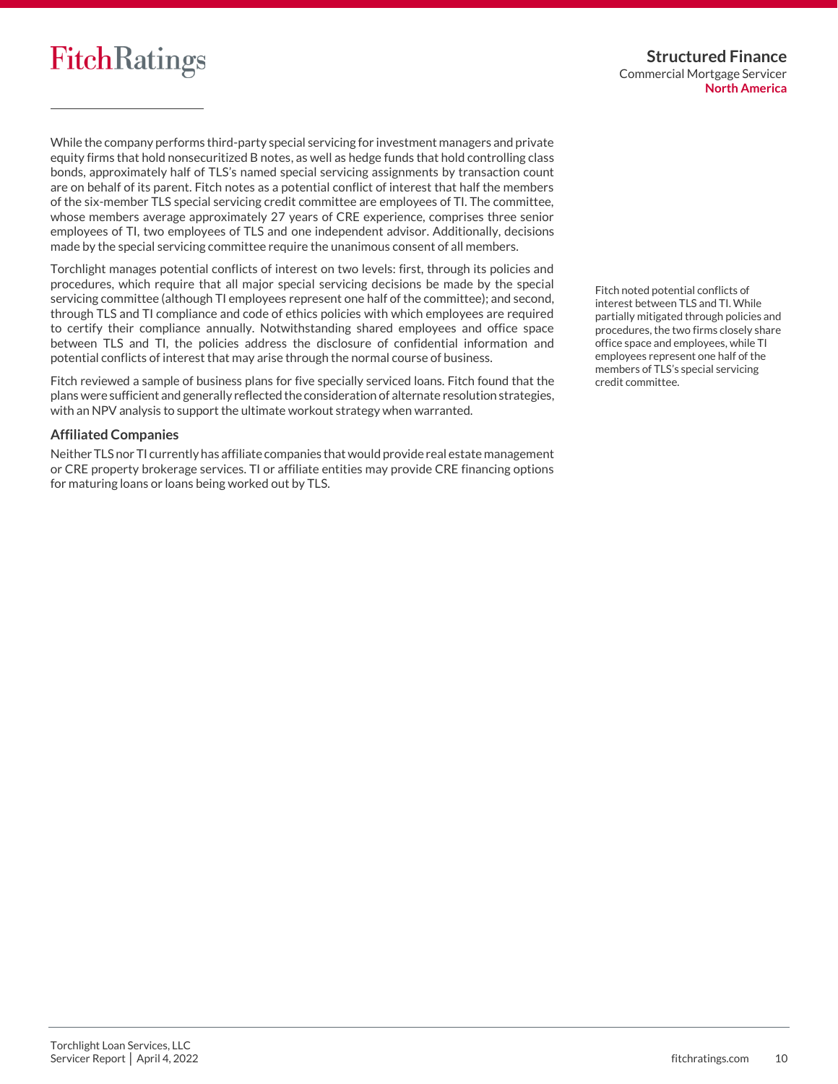

While the company performs third-party special servicing for investment managers and private equity firms that hold nonsecuritized B notes, as well as hedge funds that hold controlling class bonds, approximately half of TLS's named special servicing assignments by transaction count are on behalf of its parent. Fitch notes as a potential conflict of interest that half the members of the six-member TLS special servicing credit committee are employees of TI. The committee, whose members average approximately 27 years of CRE experience, comprises three senior employees of TI, two employees of TLS and one independent advisor. Additionally, decisions made by the special servicing committee require the unanimous consent of all members.

Torchlight manages potential conflicts of interest on two levels: first, through its policies and procedures, which require that all major special servicing decisions be made by the special servicing committee (although TI employees represent one half of the committee); and second, through TLS and TI compliance and code of ethics policies with which employees are required to certify their compliance annually. Notwithstanding shared employees and office space between TLS and TI, the policies address the disclosure of confidential information and potential conflicts of interest that may arise through the normal course of business.

Fitch reviewed a sample of business plans for five specially serviced loans. Fitch found that the plans were sufficient and generally reflected the consideration of alternate resolution strategies, with an NPV analysis to support the ultimate workout strategy when warranted.

#### **Affiliated Companies**

Neither TLS nor TI currently has affiliate companies that would provide real estate management or CRE property brokerage services. TI or affiliate entities may provide CRE financing options for maturing loans or loans being worked out by TLS.

Fitch noted potential conflicts of interest between TLS and TI. While partially mitigated through policies and procedures, the two firms closely share office space and employees, while TI employees represent one half of the members of TLS's special servicing credit committee.